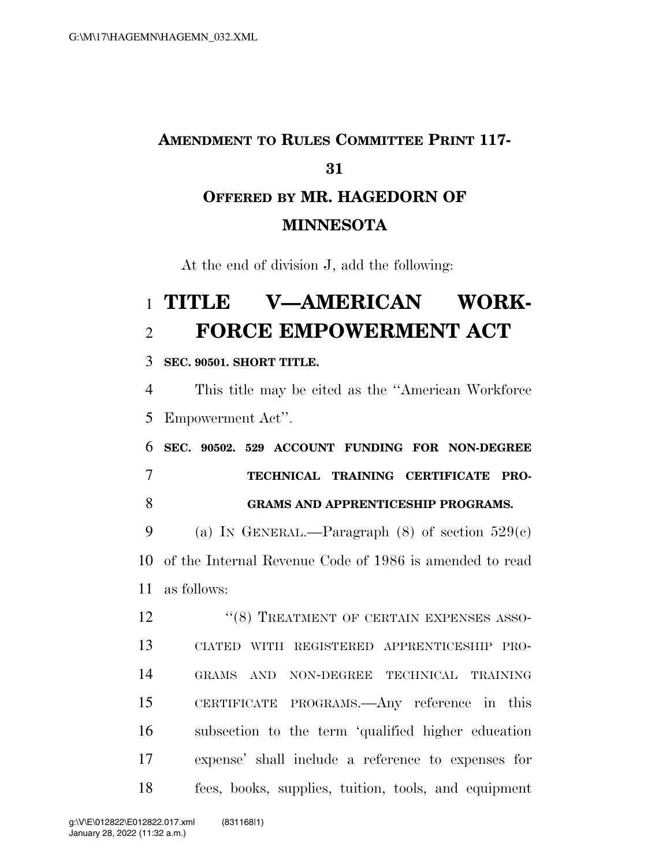## **AMENDMENT TO RULES COMMITTEE PRINT 117- OFFERED BY MR. HAGEDORN OF MINNESOTA**

At the end of division J, add the following:

## **TITLE V—AMERICAN WORK-FORCE EMPOWERMENT ACT**

**SEC. 90501. SHORT TITLE.** 

 This title may be cited as the ''American Workforce Empowerment Act''.

 **SEC. 90502. 529 ACCOUNT FUNDING FOR NON-DEGREE TECHNICAL TRAINING CERTIFICATE PRO-GRAMS AND APPRENTICESHIP PROGRAMS.** 

9 (a) IN GENERAL.—Paragraph  $(8)$  of section  $529(c)$  of the Internal Revenue Code of 1986 is amended to read as follows:

12 "(8) TREATMENT OF CERTAIN EXPENSES ASSO- CIATED WITH REGISTERED APPRENTICESHIP PRO- GRAMS AND NON-DEGREE TECHNICAL TRAINING CERTIFICATE PROGRAMS.—Any reference in this subsection to the term 'qualified higher education expense' shall include a reference to expenses for fees, books, supplies, tuition, tools, and equipment